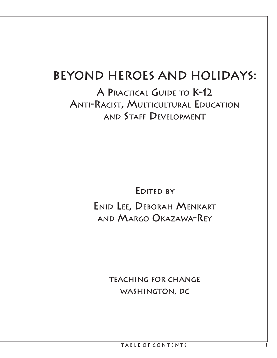# **Beyond Heroes and Holidays:**

**A PRACTICAL GUIDE TO K-12 ANTI-RACIST, MULTICULTURAL EDUCATION AND STAFF DEVELOPMENt**

> **EDITED BY ENID LEE, DEBORAH MENKART AND MARGO OKAZAWA-REY**

> > **Teaching for Change Washington, DC**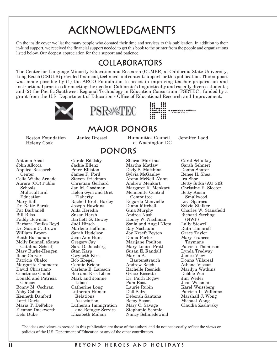# **Acknowledgments**

On the inside cover we list the many people who donated their time and services to this publication. In addition to their in-kind support, we received the financial support needed to get this book to the printer from the people and organizations listed below. Our deepest appreciation for their support and patience.

# **Collaborators**

The Center for Language Minority Education and Research (CLMER) at California State University, Long Beach (CSULB) provided financial, technical and content support for this publication. This support was made possible by (1) the ARCO Foundation to assist in improving teacher preparation and instructional practices for meeting the needs of Californiaís linguistically and racially diverse students; and (2) the Pacific Southwest Regional Technology in Education Consortium (PSRTEC), funded by a grant from the U.S. Department of Educationís Office of Educational Research and Improvement.





**Donors**

**Major Donors**



Boston Foundation Heleny Cook

Janice Dressel Humanities Council of Washington DC

Sharon Martinas

Jennifer Ladd

Antonio Abad John Allocca Applied Research Center Celia Wiehe Arnade Aurora (CO) Public Schools Multicultural Education Mary Ball Dr. Katie Barak Pat Barbanell Bill Bliss Paddy Bowman Barbara Foulks Boyd Dr. Susan C. Brown William Brown Keith Buchanan Molly Bunnell (Santa Catalina School) Mary Burke-Hengen Ilene Carver Patricia Chalco Margarita Chamorro David Christiano Constance Chubb Donald and Patricia Clausen Bonny M. Cochran Abby Cohen Kenneth Danford Lorri Davis Maria T. DeFelice Eleanor Duckworth Debi Duke

Carole Edelsky Jackie Ellenz Peter Elliston James F. Ford Steven Friedman Christian Gerhard Jan M. Goodman Helen Gym and Bret Flaherty Rachell Brett Harley Joseph Hawkins Aida Heredia Susan Hersh Bartlett G. Hewey Judi Hirsch Marlene Hoffman Sarah Hudelson Jean Ann Hunt Gregory Jay Sara D. Jonsberg Stan Karp Gwyneth Kirk Rob Koegel Connie Kriehn Carlene B. Larsson Bob and Kris Libon Mark and Joanne Libon Catherine Long Lutheran Human Relations Association Lutheran Immigration and Refugee Service Elizabeth Mahan

Martha Matlaw Dody S. Matthias Sylvia McGauley Arona McNeill-Vann Andrew Menkart Margaret K. Menkart Mennonite Central Committee Edgardo Menvielle Diana Mitchell Gina Murphy Andrea Nash Honey W. Nashman Sonia and Angel Nieto Ray Nosbaum Joy Kreeft Peyton Diana Porter Marijane Poulton Mary Louise Pratt Susan E. Randall Marcia A. Rautenstrauch Andrew Reich Rachelle Resnick Grace Rissetto Dr. Faith Rogow Pam Root Laurie Rubin Dell Salza Deborah Santana Betsy Sason Mary C. Savage Stephanie Schmid Nancy Schniedewind

Carol Schulkey Sarah Sehnert Donna Sharer Renee H. Shea Ira Shor Betty Sitka (AU SIS) Christine E. Sleeter Betty Ansin Smallwood Lisa Sparaco Sylvia Stalker Charles W. Stansfield Richard Sterling (NWP) Lally Stowell Ruth Tamaroff Grace Taylor Mary Frances Taymans Patricia Thompson Lynda Tredway Jenice View Donna Villareal Athena Viscusi Marilyn Watkins Debbie Wei Jim Weiler Jean Weisman Karel Weissberg Patricia L. Williams Marshall J. Wong Michael Wong Claudia Zaslavsky

The ideas and views expressed in this publication are those of the authors and do not necessarily reflect the views or policies of the U.S. Department of Education or any of the other contributors.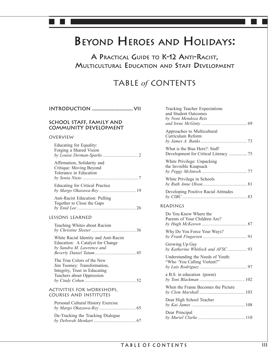# **BEYOND HEROES AND HOLIDAYS:**

**A PRACTICAL GUIDE TO K-12 ANTI-RACIST, MULTICULTURAL EDUCATION AND STAFF DEVELOPMENT**

## TABLE of CONTENTS

**INTRODUCTION ............................... VII**

#### **SCHOOL STAFF, FAMILY AND COMMUNITY DEVELOPMENT**

#### **OVERVIEW**

| Educating for Equality:<br>Forging a Shared Vision                                                                      |  |
|-------------------------------------------------------------------------------------------------------------------------|--|
| Affirmation, Solidarity and<br>Critique: Moving Beyond<br>Tolerance in Education                                        |  |
| <b>Educating for Critical Practice</b>                                                                                  |  |
| Anti-Racist Education: Pulling<br>Together to Close the Gaps                                                            |  |
| <b>IFSSONS IFARNED</b>                                                                                                  |  |
| Teaching Whites about Racism                                                                                            |  |
| White Racial Identity and Anti-Racist<br>Education: A Catalyst for Change<br>by Sandra M. Lawrence and                  |  |
| The True Colors of the New<br>Jim Toomey: Transformation,<br>Integrity, Trust in Educating<br>Teachers about Oppression |  |
| ACTIVITIES FOR WORKSHOPS,<br>COURSES AND INSTITUTES                                                                     |  |
| Personal Cultural History Exercise                                                                                      |  |
|                                                                                                                         |  |

| De-Tracking the Tracking Dialogue |  |
|-----------------------------------|--|
|                                   |  |

| <b>Tracking Teacher Expectations</b><br>and Student Outcomes<br>by Noni Mendoza Reis |  |
|--------------------------------------------------------------------------------------|--|
| Approaches to Multicultural<br>Curriculum Reform                                     |  |
| What is the Bias Here?: Staff<br>Development for Critical Literacy  75               |  |
| White Privilege: Unpacking<br>the Invisible Knapsack                                 |  |
| White Privilege in Schools                                                           |  |
| Developing Positive Racial Attitudes                                                 |  |
| READINGS                                                                             |  |
| Do You Know Where the<br>Parents of Your Children Are?                               |  |
| Why Do You Force Your Ways?                                                          |  |
| Growing Up Gay<br>by Katherine Whitlock and AFSC  93                                 |  |
| Understanding the Needs of Youth:<br>"Who 'You Calling Violent?"                     |  |
| a B.S. in education (poem)                                                           |  |
| When the Frame Becomes the Picture                                                   |  |
| Dear High School Teacher                                                             |  |
| Dear Principal                                                                       |  |
|                                                                                      |  |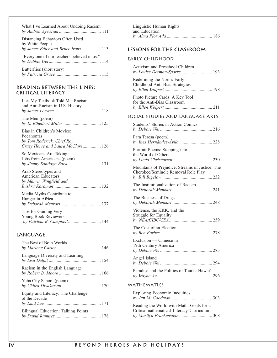| What I've Learned About Undoing Racism                                                    |  |
|-------------------------------------------------------------------------------------------|--|
| Distancing Behaviors Often Used<br>by White People<br>by James Edler and Bruce Irons  113 |  |
| "Every one of our teachers believed in us."                                               |  |
| Butterflies (short story)                                                                 |  |

#### **READING BETWEEN THE LINES: CRITICAL LITERACY**

| Lies My Textbook Told Me: Racism<br>and Anti-Racism in U.S. History                                         |
|-------------------------------------------------------------------------------------------------------------|
| The Men (poem)                                                                                              |
| Bias in Children's Movies:<br>Pocahontas<br>by Tom Roderick, Chief Roy<br>Crazy Horse and Laura McClure 126 |
| So Mexicans Are Taking<br>Jobs from Americans (poem)<br>by Jimmy Santiago Baca  131                         |
| Arab Stereotypes and<br><b>American Educators</b><br>by Marvin Wingfield and                                |
| Media Myths Contribute to<br>Hunger in Africa                                                               |
| Tips for Guiding Very<br>Young Book Reviewers<br>by Patricia B. Campbell 144                                |

#### **LANGUAGE**

| The Best of Both Worlds                             |  |
|-----------------------------------------------------|--|
| Language Diversity and Learning                     |  |
| Racism in the English Language                      |  |
| Yuba City School (poem)                             |  |
| Equity and Literacy: The Challenge<br>of the Decade |  |
| Bilingual Education: Talking Points                 |  |

| Linguistic Human Rights<br>and Education                                                                             |
|----------------------------------------------------------------------------------------------------------------------|
| LESSONS FOR THE CLASSROOM                                                                                            |
| <b>EARLY CHILDHOOD</b>                                                                                               |
| Activism and Preschool Children<br>by Louise Derman-Sparks  193                                                      |
| Redefining the Norm: Early<br>Childhood Anti-Bias Strategies                                                         |
| Photo Picture Cards: A Key Tool<br>for the Anti-Bias Classroom                                                       |
| SOCIAL STUDIES AND LANGUAGE ARTS                                                                                     |
| Students' Stories in Action Comics                                                                                   |
| Para Teresa (poem)<br>by Inés Hernández-Ávila  228                                                                   |
| Portrait Poems: Stepping into<br>the World of Others                                                                 |
| Mountains of Prejudice; Streams of Justice: The<br>Cherokee/Seminole Removal Role Play                               |
| The Institutionalization of Racism                                                                                   |
| The Business of Drugs                                                                                                |
| Violence, the KKK, and the<br>Struggle for Equality                                                                  |
| The Cost of an Election                                                                                              |
| Exclusion — Chinese in<br>19th Century America                                                                       |
| Angel Island                                                                                                         |
| Paradise and the Politics of Tourist Hawai'i                                                                         |
| MATHEMATICS                                                                                                          |
| <b>Exploring Economic Inequities</b>                                                                                 |
| Reading the World with Math: Goals for a<br>Criticalmathematical Literacy Curriculum<br>by Marilyn Frankenstein  308 |